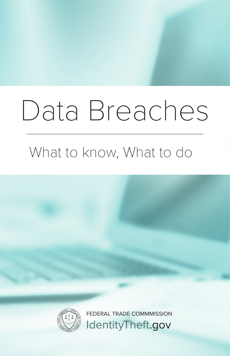# Data Breaches

## What to know, What to do



FEDERAL TRADE COMMMISSION IdentityTheft.gov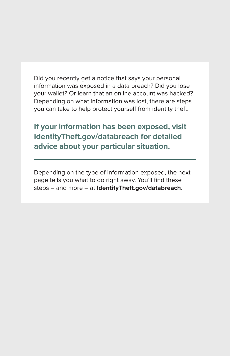Did you recently get a notice that says your personal information was exposed in a data breach? Did you lose your wallet? Or learn that an online account was hacked? Depending on what information was lost, there are steps you can take to help protect yourself from identity theft.

**If your information has been exposed, visit IdentityTheft.gov/databreach for detailed advice about your particular situation.** 

Depending on the type of information exposed, the next page tells you what to do right away. You'll find these steps – and more – at **IdentityTheft.gov/databreach**.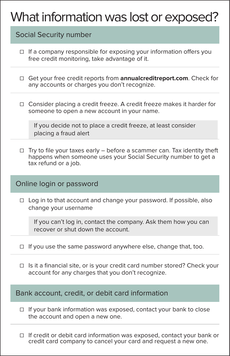### What information was lost or exposed?

#### Social Security number

- ☐ If a company responsible for exposing your information offers you free credit monitoring, take advantage of it.
- ☐ Get your free credit reports from **annualcreditreport.com**. Check for any accounts or charges you don't recognize.
- ☐ Consider placing a credit freeze. A credit freeze makes it harder for someone to open a new account in your name.

If you decide not to place a credit freeze, at least consider placing a fraud alert

 $\Box$  Try to file your taxes early – before a scammer can. Tax identity theft happens when someone uses your Social Security number to get a tax refund or a job.

#### Online login or password

□ Log in to that account and change your password. If possible, also change your username

If you can't log in, contact the company. Ask them how you can recover or shut down the account.

- □ If you use the same password anywhere else, change that, too.
- ☐ Is it a financial site, or is your credit card number stored? Check your account for any charges that you don't recognize.

#### Bank account, credit, or debit card information

- □ If your bank information was exposed, contact your bank to close the account and open a new one.
- ☐ If credit or debit card information was exposed, contact your bank or credit card company to cancel your card and request a new one.